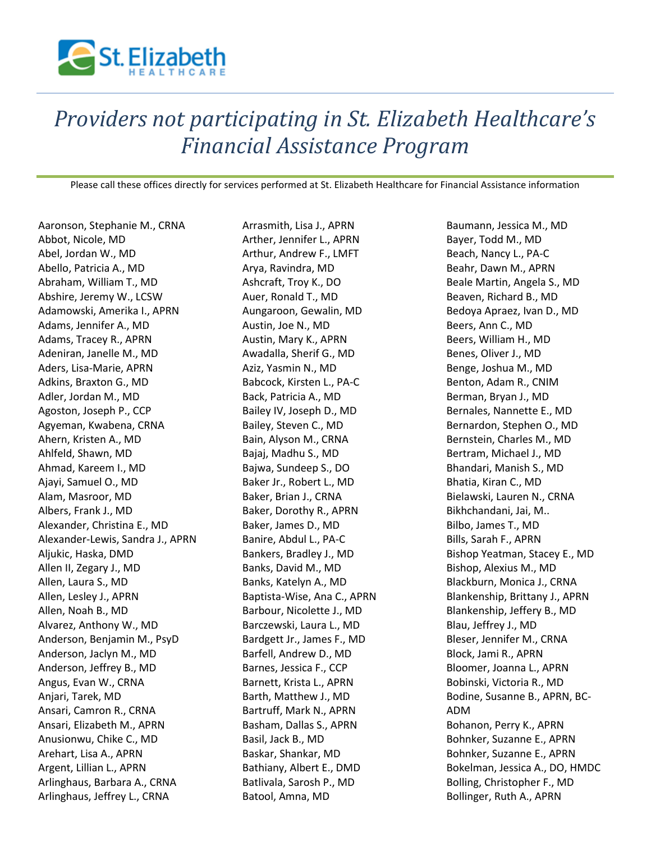

## *Providers not participating in St. Elizabeth Healthcare's Financial Assistance Program*

Please call these offices directly for services performed at St. Elizabeth Healthcare for Financial Assistance information

Aaronson, Stephanie M., CRNA Abbot, Nicole, MD Abel, Jordan W., MD Abello, Patricia A., MD Abraham, William T., MD Abshire, Jeremy W., LCSW Adamowski, Amerika I., APRN Adams, Jennifer A., MD Adams, Tracey R., APRN Adeniran, Janelle M., MD Aders, Lisa-Marie, APRN Adkins, Braxton G., MD Adler, Jordan M., MD Agoston, Joseph P., CCP Agyeman, Kwabena, CRNA Ahern, Kristen A., MD Ahlfeld, Shawn, MD Ahmad, Kareem I., MD Ajayi, Samuel O., MD Alam, Masroor, MD Albers, Frank J., MD Alexander, Christina E., MD Alexander-Lewis, Sandra J., APRN Aljukic, Haska, DMD Allen II, Zegary J., MD Allen, Laura S., MD Allen, Lesley J., APRN Allen, Noah B., MD Alvarez, Anthony W., MD Anderson, Benjamin M., PsyD Anderson, Jaclyn M., MD Anderson, Jeffrey B., MD Angus, Evan W., CRNA Anjari, Tarek, MD Ansari, Camron R., CRNA Ansari, Elizabeth M., APRN Anusionwu, Chike C., MD Arehart, Lisa A., APRN Argent, Lillian L., APRN Arlinghaus, Barbara A., CRNA Arlinghaus, Jeffrey L., CRNA

Arrasmith, Lisa J., APRN Arther, Jennifer L., APRN Arthur, Andrew F., LMFT Arya, Ravindra, MD Ashcraft, Troy K., DO Auer, Ronald T., MD Aungaroon, Gewalin, MD Austin, Joe N., MD Austin, Mary K., APRN Awadalla, Sherif G., MD Aziz, Yasmin N., MD Babcock, Kirsten L., PA-C Back, Patricia A., MD Bailey IV, Joseph D., MD Bailey, Steven C., MD Bain, Alyson M., CRNA Bajaj, Madhu S., MD Bajwa, Sundeep S., DO Baker Jr., Robert L., MD Baker, Brian J., CRNA Baker, Dorothy R., APRN Baker, James D., MD Banire, Abdul L., PA-C Bankers, Bradley J., MD Banks, David M., MD Banks, Katelyn A., MD Baptista-Wise, Ana C., APRN Barbour, Nicolette J., MD Barczewski, Laura L., MD Bardgett Jr., James F., MD Barfell, Andrew D., MD Barnes, Jessica F., CCP Barnett, Krista L., APRN Barth, Matthew J., MD Bartruff, Mark N., APRN Basham, Dallas S., APRN Basil, Jack B., MD Baskar, Shankar, MD Bathiany, Albert E., DMD Batlivala, Sarosh P., MD Batool, Amna, MD

Baumann, Jessica M., MD Bayer, Todd M., MD Beach, Nancy L., PA-C Beahr, Dawn M., APRN Beale Martin, Angela S., MD Beaven, Richard B., MD Bedoya Apraez, Ivan D., MD Beers, Ann C., MD Beers, William H., MD Benes, Oliver J., MD Benge, Joshua M., MD Benton, Adam R., CNIM Berman, Bryan J., MD Bernales, Nannette E., MD Bernardon, Stephen O., MD Bernstein, Charles M., MD Bertram, Michael J., MD Bhandari, Manish S., MD Bhatia, Kiran C., MD Bielawski, Lauren N., CRNA Bikhchandani, Jai, M.. Bilbo, James T., MD Bills, Sarah F., APRN Bishop Yeatman, Stacey E., MD Bishop, Alexius M., MD Blackburn, Monica J., CRNA Blankenship, Brittany J., APRN Blankenship, Jeffery B., MD Blau, Jeffrey J., MD Bleser, Jennifer M., CRNA Block, Jami R., APRN Bloomer, Joanna L., APRN Bobinski, Victoria R., MD Bodine, Susanne B., APRN, BC-ADM Bohanon, Perry K., APRN Bohnker, Suzanne E., APRN Bohnker, Suzanne E., APRN Bokelman, Jessica A., DO, HMDC Bolling, Christopher F., MD Bollinger, Ruth A., APRN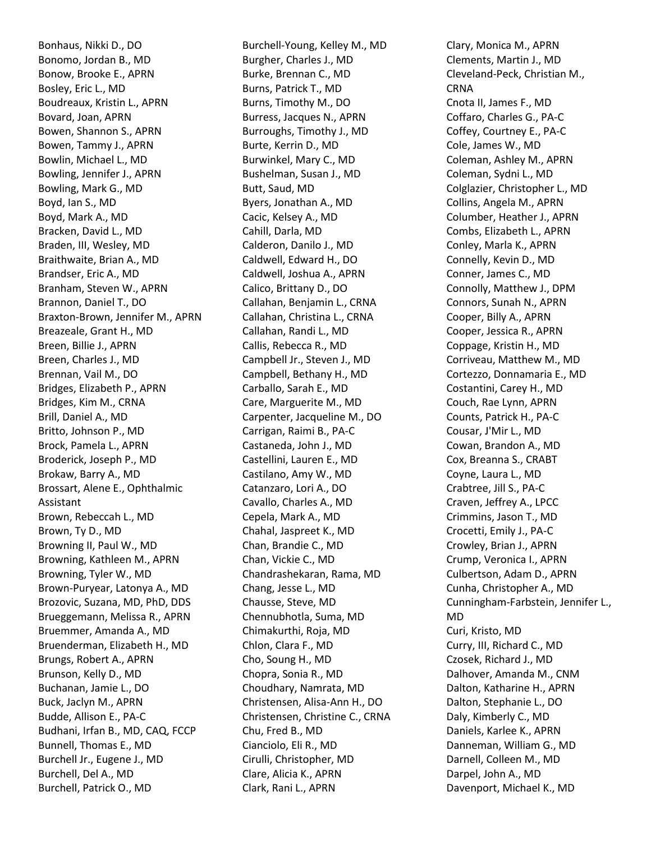Bonhaus, Nikki D., DO Bonomo, Jordan B., MD Bonow, Brooke E., APRN Bosley, Eric L., MD Boudreaux, Kristin L., APRN Bovard, Joan, APRN Bowen, Shannon S., APRN Bowen, Tammy J., APRN Bowlin, Michael L., MD Bowling, Jennifer J., APRN Bowling, Mark G., MD Boyd, Ian S., MD Boyd, Mark A., MD Bracken, David L., MD Braden, III, Wesley, MD Braithwaite, Brian A., MD Brandser, Eric A., MD Branham, Steven W., APRN Brannon, Daniel T., DO Braxton-Brown, Jennifer M., APRN Breazeale, Grant H., MD Breen, Billie J., APRN Breen, Charles J., MD Brennan, Vail M., DO Bridges, Elizabeth P., APRN Bridges, Kim M., CRNA Brill, Daniel A., MD Britto, Johnson P., MD Brock, Pamela L., APRN Broderick, Joseph P., MD Brokaw, Barry A., MD Brossart, Alene E., Ophthalmic Assistant Brown, Rebeccah L., MD Brown, Ty D., MD Browning II, Paul W., MD Browning, Kathleen M., APRN Browning, Tyler W., MD Brown-Puryear, Latonya A., MD Brozovic, Suzana, MD, PhD, DDS Brueggemann, Melissa R., APRN Bruemmer, Amanda A., MD Bruenderman, Elizabeth H., MD Brungs, Robert A., APRN Brunson, Kelly D., MD Buchanan, Jamie L., DO Buck, Jaclyn M., APRN Budde, Allison E., PA-C Budhani, Irfan B., MD, CAQ, FCCP Bunnell, Thomas E., MD Burchell Jr., Eugene J., MD Burchell, Del A., MD Burchell, Patrick O., MD

Burchell-Young, Kelley M., MD Burgher, Charles J., MD Burke, Brennan C., MD Burns, Patrick T., MD Burns, Timothy M., DO Burress, Jacques N., APRN Burroughs, Timothy J., MD Burte, Kerrin D., MD Burwinkel, Mary C., MD Bushelman, Susan J., MD Butt, Saud, MD Byers, Jonathan A., MD Cacic, Kelsey A., MD Cahill, Darla, MD Calderon, Danilo J., MD Caldwell, Edward H., DO Caldwell, Joshua A., APRN Calico, Brittany D., DO Callahan, Benjamin L., CRNA Callahan, Christina L., CRNA Callahan, Randi L., MD Callis, Rebecca R., MD Campbell Jr., Steven J., MD Campbell, Bethany H., MD Carballo, Sarah E., MD Care, Marguerite M., MD Carpenter, Jacqueline M., DO Carrigan, Raimi B., PA-C Castaneda, John J., MD Castellini, Lauren E., MD Castilano, Amy W., MD Catanzaro, Lori A., DO Cavallo, Charles A., MD Cepela, Mark A., MD Chahal, Jaspreet K., MD Chan, Brandie C., MD Chan, Vickie C., MD Chandrashekaran, Rama, MD Chang, Jesse L., MD Chausse, Steve, MD Chennubhotla, Suma, MD Chimakurthi, Roja, MD Chlon, Clara F., MD Cho, Soung H., MD Chopra, Sonia R., MD Choudhary, Namrata, MD Christensen, Alisa-Ann H., DO Christensen, Christine C., CRNA Chu, Fred B., MD Cianciolo, Eli R., MD Cirulli, Christopher, MD Clare, Alicia K., APRN Clark, Rani L., APRN

Clary, Monica M., APRN Clements, Martin J., MD Cleveland-Peck, Christian M., CRNA Cnota II, James F., MD Coffaro, Charles G., PA-C Coffey, Courtney E., PA-C Cole, James W., MD Coleman, Ashley M., APRN Coleman, Sydni L., MD Colglazier, Christopher L., MD Collins, Angela M., APRN Columber, Heather J., APRN Combs, Elizabeth L., APRN Conley, Marla K., APRN Connelly, Kevin D., MD Conner, James C., MD Connolly, Matthew J., DPM Connors, Sunah N., APRN Cooper, Billy A., APRN Cooper, Jessica R., APRN Coppage, Kristin H., MD Corriveau, Matthew M., MD Cortezzo, Donnamaria E., MD Costantini, Carey H., MD Couch, Rae Lynn, APRN Counts, Patrick H., PA-C Cousar, J'Mir L., MD Cowan, Brandon A., MD Cox, Breanna S., CRABT Coyne, Laura L., MD Crabtree, Jill S., PA-C Craven, Jeffrey A., LPCC Crimmins, Jason T., MD Crocetti, Emily J., PA-C Crowley, Brian J., APRN Crump, Veronica I., APRN Culbertson, Adam D., APRN Cunha, Christopher A., MD Cunningham-Farbstein, Jennifer L., MD Curi, Kristo, MD Curry, III, Richard C., MD Czosek, Richard J., MD Dalhover, Amanda M., CNM Dalton, Katharine H., APRN Dalton, Stephanie L., DO Daly, Kimberly C., MD Daniels, Karlee K., APRN Danneman, William G., MD Darnell, Colleen M., MD Darpel, John A., MD Davenport, Michael K., MD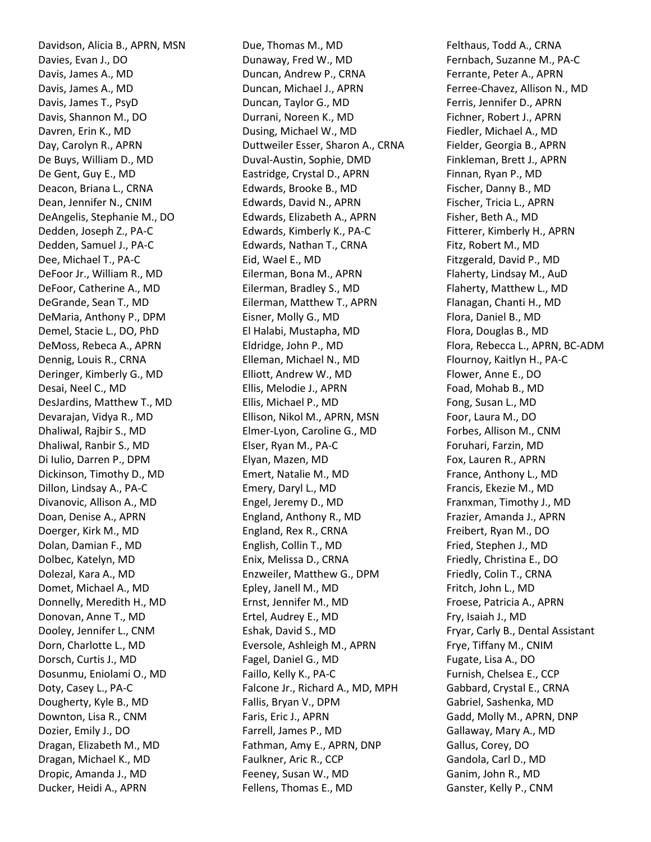Davidson, Alicia B., APRN, MSN Davies, Evan J., DO Davis, James A., MD Davis, James A., MD Davis, James T., PsyD Davis, Shannon M., DO Davren, Erin K., MD Day, Carolyn R., APRN De Buys, William D., MD De Gent, Guy E., MD Deacon, Briana L., CRNA Dean, Jennifer N., CNIM DeAngelis, Stephanie M., DO Dedden, Joseph Z., PA-C Dedden, Samuel J., PA-C Dee, Michael T., PA-C DeFoor Jr., William R., MD DeFoor, Catherine A., MD DeGrande, Sean T., MD DeMaria, Anthony P., DPM Demel, Stacie L., DO, PhD DeMoss, Rebeca A., APRN Dennig, Louis R., CRNA Deringer, Kimberly G., MD Desai, Neel C., MD DesJardins, Matthew T., MD Devarajan, Vidya R., MD Dhaliwal, Rajbir S., MD Dhaliwal, Ranbir S., MD Di Iulio, Darren P., DPM Dickinson, Timothy D., MD Dillon, Lindsay A., PA-C Divanovic, Allison A., MD Doan, Denise A., APRN Doerger, Kirk M., MD Dolan, Damian F., MD Dolbec, Katelyn, MD Dolezal, Kara A., MD Domet, Michael A., MD Donnelly, Meredith H., MD Donovan, Anne T., MD Dooley, Jennifer L., CNM Dorn, Charlotte L., MD Dorsch, Curtis J., MD Dosunmu, Eniolami O., MD Doty, Casey L., PA-C Dougherty, Kyle B., MD Downton, Lisa R., CNM Dozier, Emily J., DO Dragan, Elizabeth M., MD Dragan, Michael K., MD Dropic, Amanda J., MD Ducker, Heidi A., APRN

Due, Thomas M., MD Dunaway, Fred W., MD Duncan, Andrew P., CRNA Duncan, Michael J., APRN Duncan, Taylor G., MD Durrani, Noreen K., MD Dusing, Michael W., MD Duttweiler Esser, Sharon A., CRNA Duval-Austin, Sophie, DMD Eastridge, Crystal D., APRN Edwards, Brooke B., MD Edwards, David N., APRN Edwards, Elizabeth A., APRN Edwards, Kimberly K., PA-C Edwards, Nathan T., CRNA Eid, Wael E., MD Eilerman, Bona M., APRN Eilerman, Bradley S., MD Eilerman, Matthew T., APRN Eisner, Molly G., MD El Halabi, Mustapha, MD Eldridge, John P., MD Elleman, Michael N., MD Elliott, Andrew W., MD Ellis, Melodie J., APRN Ellis, Michael P., MD Ellison, Nikol M., APRN, MSN Elmer-Lyon, Caroline G., MD Elser, Ryan M., PA-C Elyan, Mazen, MD Emert, Natalie M., MD Emery, Daryl L., MD Engel, Jeremy D., MD England, Anthony R., MD England, Rex R., CRNA English, Collin T., MD Enix, Melissa D., CRNA Enzweiler, Matthew G., DPM Epley, Janell M., MD Ernst, Jennifer M., MD Ertel, Audrey E., MD Eshak, David S., MD Eversole, Ashleigh M., APRN Fagel, Daniel G., MD Faillo, Kelly K., PA-C Falcone Jr., Richard A., MD, MPH Fallis, Bryan V., DPM Faris, Eric J., APRN Farrell, James P., MD Fathman, Amy E., APRN, DNP Faulkner, Aric R., CCP Feeney, Susan W., MD Fellens, Thomas E., MD

Felthaus, Todd A., CRNA Fernbach, Suzanne M., PA-C Ferrante, Peter A., APRN Ferree-Chavez, Allison N., MD Ferris, Jennifer D., APRN Fichner, Robert J., APRN Fiedler, Michael A., MD Fielder, Georgia B., APRN Finkleman, Brett J., APRN Finnan, Ryan P., MD Fischer, Danny B., MD Fischer, Tricia L., APRN Fisher, Beth A., MD Fitterer, Kimberly H., APRN Fitz, Robert M., MD Fitzgerald, David P., MD Flaherty, Lindsay M., AuD Flaherty, Matthew L., MD Flanagan, Chanti H., MD Flora, Daniel B., MD Flora, Douglas B., MD Flora, Rebecca L., APRN, BC-ADM Flournoy, Kaitlyn H., PA-C Flower, Anne E., DO Foad, Mohab B., MD Fong, Susan L., MD Foor, Laura M., DO Forbes, Allison M., CNM Foruhari, Farzin, MD Fox, Lauren R., APRN France, Anthony L., MD Francis, Ekezie M., MD Franxman, Timothy J., MD Frazier, Amanda J., APRN Freibert, Ryan M., DO Fried, Stephen J., MD Friedly, Christina E., DO Friedly, Colin T., CRNA Fritch, John L., MD Froese, Patricia A., APRN Fry, Isaiah J., MD Fryar, Carly B., Dental Assistant Frye, Tiffany M., CNIM Fugate, Lisa A., DO Furnish, Chelsea E., CCP Gabbard, Crystal E., CRNA Gabriel, Sashenka, MD Gadd, Molly M., APRN, DNP Gallaway, Mary A., MD Gallus, Corey, DO Gandola, Carl D., MD Ganim, John R., MD Ganster, Kelly P., CNM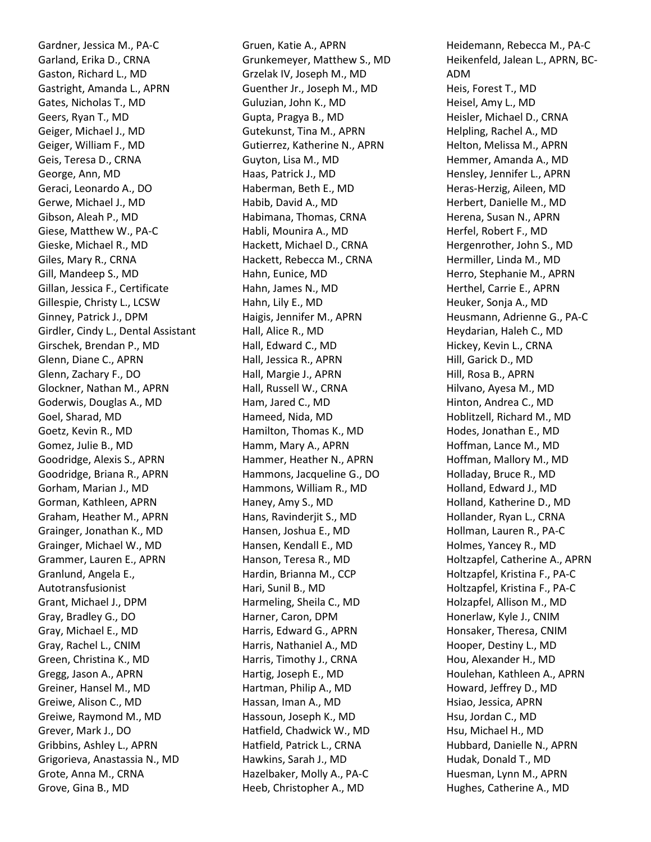Gardner, Jessica M., PA-C Garland, Erika D., CRNA Gaston, Richard L., MD Gastright, Amanda L., APRN Gates, Nicholas T., MD Geers, Ryan T., MD Geiger, Michael J., MD Geiger, William F., MD Geis, Teresa D., CRNA George, Ann, MD Geraci, Leonardo A., DO Gerwe, Michael J., MD Gibson, Aleah P., MD Giese, Matthew W., PA-C Gieske, Michael R., MD Giles, Mary R., CRNA Gill, Mandeep S., MD Gillan, Jessica F., Certificate Gillespie, Christy L., LCSW Ginney, Patrick J., DPM Girdler, Cindy L., Dental Assistant Girschek, Brendan P., MD Glenn, Diane C., APRN Glenn, Zachary F., DO Glockner, Nathan M., APRN Goderwis, Douglas A., MD Goel, Sharad, MD Goetz, Kevin R., MD Gomez, Julie B., MD Goodridge, Alexis S., APRN Goodridge, Briana R., APRN Gorham, Marian J., MD Gorman, Kathleen, APRN Graham, Heather M., APRN Grainger, Jonathan K., MD Grainger, Michael W., MD Grammer, Lauren E., APRN Granlund, Angela E., Autotransfusionist Grant, Michael J., DPM Gray, Bradley G., DO Gray, Michael E., MD Gray, Rachel L., CNIM Green, Christina K., MD Gregg, Jason A., APRN Greiner, Hansel M., MD Greiwe, Alison C., MD Greiwe, Raymond M., MD Grever, Mark J., DO Gribbins, Ashley L., APRN Grigorieva, Anastassia N., MD Grote, Anna M., CRNA Grove, Gina B., MD

Gruen, Katie A., APRN Grunkemeyer, Matthew S., MD Grzelak IV, Joseph M., MD Guenther Jr., Joseph M., MD Guluzian, John K., MD Gupta, Pragya B., MD Gutekunst, Tina M., APRN Gutierrez, Katherine N., APRN Guyton, Lisa M., MD Haas, Patrick J., MD Haberman, Beth E., MD Habib, David A., MD Habimana, Thomas, CRNA Habli, Mounira A., MD Hackett, Michael D., CRNA Hackett, Rebecca M., CRNA Hahn, Eunice, MD Hahn, James N., MD Hahn, Lily E., MD Haigis, Jennifer M., APRN Hall, Alice R., MD Hall, Edward C., MD Hall, Jessica R., APRN Hall, Margie J., APRN Hall, Russell W., CRNA Ham, Jared C., MD Hameed, Nida, MD Hamilton, Thomas K., MD Hamm, Mary A., APRN Hammer, Heather N., APRN Hammons, Jacqueline G., DO Hammons, William R., MD Haney, Amy S., MD Hans, Ravinderjit S., MD Hansen, Joshua E., MD Hansen, Kendall E., MD Hanson, Teresa R., MD Hardin, Brianna M., CCP Hari, Sunil B., MD Harmeling, Sheila C., MD Harner, Caron, DPM Harris, Edward G., APRN Harris, Nathaniel A., MD Harris, Timothy J., CRNA Hartig, Joseph E., MD Hartman, Philip A., MD Hassan, Iman A., MD Hassoun, Joseph K., MD Hatfield, Chadwick W., MD Hatfield, Patrick L., CRNA Hawkins, Sarah J., MD Hazelbaker, Molly A., PA-C Heeb, Christopher A., MD

Heidemann, Rebecca M., PA-C Heikenfeld, Jalean L., APRN, BC-ADM Heis, Forest T., MD Heisel, Amy L., MD Heisler, Michael D., CRNA Helpling, Rachel A., MD Helton, Melissa M., APRN Hemmer, Amanda A., MD Hensley, Jennifer L., APRN Heras-Herzig, Aileen, MD Herbert, Danielle M., MD Herena, Susan N., APRN Herfel, Robert F., MD Hergenrother, John S., MD Hermiller, Linda M., MD Herro, Stephanie M., APRN Herthel, Carrie E., APRN Heuker, Sonja A., MD Heusmann, Adrienne G., PA-C Heydarian, Haleh C., MD Hickey, Kevin L., CRNA Hill, Garick D., MD Hill, Rosa B., APRN Hilvano, Ayesa M., MD Hinton, Andrea C., MD Hoblitzell, Richard M., MD Hodes, Jonathan E., MD Hoffman, Lance M., MD Hoffman, Mallory M., MD Holladay, Bruce R., MD Holland, Edward J., MD Holland, Katherine D., MD Hollander, Ryan L., CRNA Hollman, Lauren R., PA-C Holmes, Yancey R., MD Holtzapfel, Catherine A., APRN Holtzapfel, Kristina F., PA-C Holtzapfel, Kristina F., PA-C Holzapfel, Allison M., MD Honerlaw, Kyle J., CNIM Honsaker, Theresa, CNIM Hooper, Destiny L., MD Hou, Alexander H., MD Houlehan, Kathleen A., APRN Howard, Jeffrey D., MD Hsiao, Jessica, APRN Hsu, Jordan C., MD Hsu, Michael H., MD Hubbard, Danielle N., APRN Hudak, Donald T., MD Huesman, Lynn M., APRN Hughes, Catherine A., MD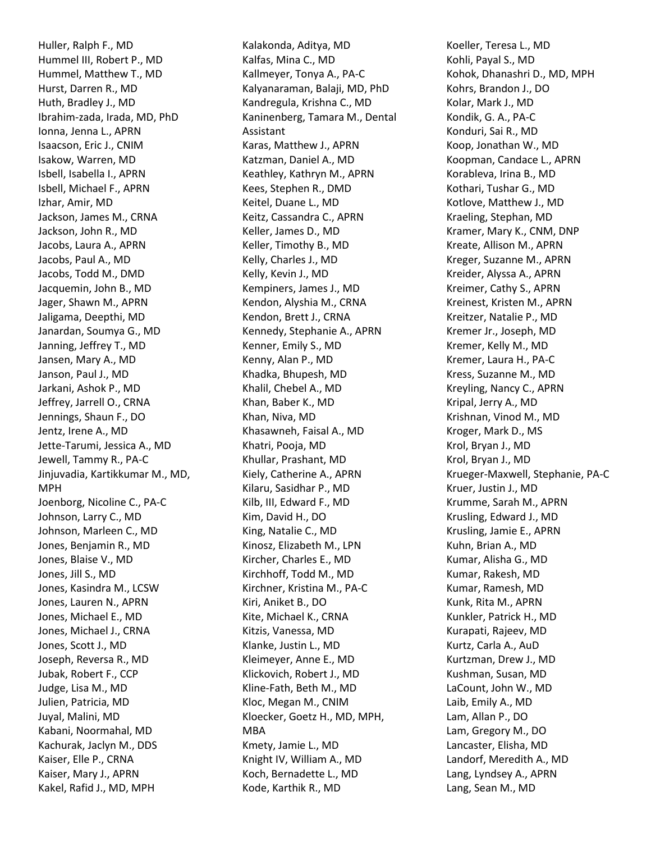Huller, Ralph F., MD Hummel III, Robert P., MD Hummel, Matthew T., MD Hurst, Darren R., MD Huth, Bradley J., MD Ibrahim-zada, Irada, MD, PhD Ionna, Jenna L., APRN Isaacson, Eric J., CNIM Isakow, Warren, MD Isbell, Isabella I., APRN Isbell, Michael F., APRN Izhar, Amir, MD Jackson, James M., CRNA Jackson, John R., MD Jacobs, Laura A., APRN Jacobs, Paul A., MD Jacobs, Todd M., DMD Jacquemin, John B., MD Jager, Shawn M., APRN Jaligama, Deepthi, MD Janardan, Soumya G., MD Janning, Jeffrey T., MD Jansen, Mary A., MD Janson, Paul J., MD Jarkani, Ashok P., MD Jeffrey, Jarrell O., CRNA Jennings, Shaun F., DO Jentz, Irene A., MD Jette-Tarumi, Jessica A., MD Jewell, Tammy R., PA-C Jinjuvadia, Kartikkumar M., MD, MPH Joenborg, Nicoline C., PA-C Johnson, Larry C., MD Johnson, Marleen C., MD Jones, Benjamin R., MD Jones, Blaise V., MD Jones, Jill S., MD Jones, Kasindra M., LCSW Jones, Lauren N., APRN Jones, Michael E., MD Jones, Michael J., CRNA Jones, Scott J., MD Joseph, Reversa R., MD Jubak, Robert F., CCP Judge, Lisa M., MD Julien, Patricia, MD Juyal, Malini, MD Kabani, Noormahal, MD Kachurak, Jaclyn M., DDS Kaiser, Elle P., CRNA Kaiser, Mary J., APRN Kakel, Rafid J., MD, MPH

Kalakonda, Aditya, MD Kalfas, Mina C., MD Kallmeyer, Tonya A., PA-C Kalyanaraman, Balaji, MD, PhD Kandregula, Krishna C., MD Kaninenberg, Tamara M., Dental Assistant Karas, Matthew J., APRN Katzman, Daniel A., MD Keathley, Kathryn M., APRN Kees, Stephen R., DMD Keitel, Duane L., MD Keitz, Cassandra C., APRN Keller, James D., MD Keller, Timothy B., MD Kelly, Charles J., MD Kelly, Kevin J., MD Kempiners, James J., MD Kendon, Alyshia M., CRNA Kendon, Brett J., CRNA Kennedy, Stephanie A., APRN Kenner, Emily S., MD Kenny, Alan P., MD Khadka, Bhupesh, MD Khalil, Chebel A., MD Khan, Baber K., MD Khan, Niva, MD Khasawneh, Faisal A., MD Khatri, Pooja, MD Khullar, Prashant, MD Kiely, Catherine A., APRN Kilaru, Sasidhar P., MD Kilb, III, Edward F., MD Kim, David H., DO King, Natalie C., MD Kinosz, Elizabeth M., LPN Kircher, Charles E., MD Kirchhoff, Todd M., MD Kirchner, Kristina M., PA-C Kiri, Aniket B., DO Kite, Michael K., CRNA Kitzis, Vanessa, MD Klanke, Justin L., MD Kleimeyer, Anne E., MD Klickovich, Robert J., MD Kline-Fath, Beth M., MD Kloc, Megan M., CNIM Kloecker, Goetz H., MD, MPH, MBA Kmety, Jamie L., MD Knight IV, William A., MD Koch, Bernadette L., MD Kode, Karthik R., MD

Koeller, Teresa L., MD Kohli, Payal S., MD Kohok, Dhanashri D., MD, MPH Kohrs, Brandon J., DO Kolar, Mark J., MD Kondik, G. A., PA-C Konduri, Sai R., MD Koop, Jonathan W., MD Koopman, Candace L., APRN Korableva, Irina B., MD Kothari, Tushar G., MD Kotlove, Matthew J., MD Kraeling, Stephan, MD Kramer, Mary K., CNM, DNP Kreate, Allison M., APRN Kreger, Suzanne M., APRN Kreider, Alyssa A., APRN Kreimer, Cathy S., APRN Kreinest, Kristen M., APRN Kreitzer, Natalie P., MD Kremer Jr., Joseph, MD Kremer, Kelly M., MD Kremer, Laura H., PA-C Kress, Suzanne M., MD Kreyling, Nancy C., APRN Kripal, Jerry A., MD Krishnan, Vinod M., MD Kroger, Mark D., MS Krol, Bryan J., MD Krol, Bryan J., MD Krueger-Maxwell, Stephanie, PA-C Kruer, Justin J., MD Krumme, Sarah M., APRN Krusling, Edward J., MD Krusling, Jamie E., APRN Kuhn, Brian A., MD Kumar, Alisha G., MD Kumar, Rakesh, MD Kumar, Ramesh, MD Kunk, Rita M., APRN Kunkler, Patrick H., MD Kurapati, Rajeev, MD Kurtz, Carla A., AuD Kurtzman, Drew J., MD Kushman, Susan, MD LaCount, John W., MD Laib, Emily A., MD Lam, Allan P., DO Lam, Gregory M., DO Lancaster, Elisha, MD Landorf, Meredith A., MD Lang, Lyndsey A., APRN Lang, Sean M., MD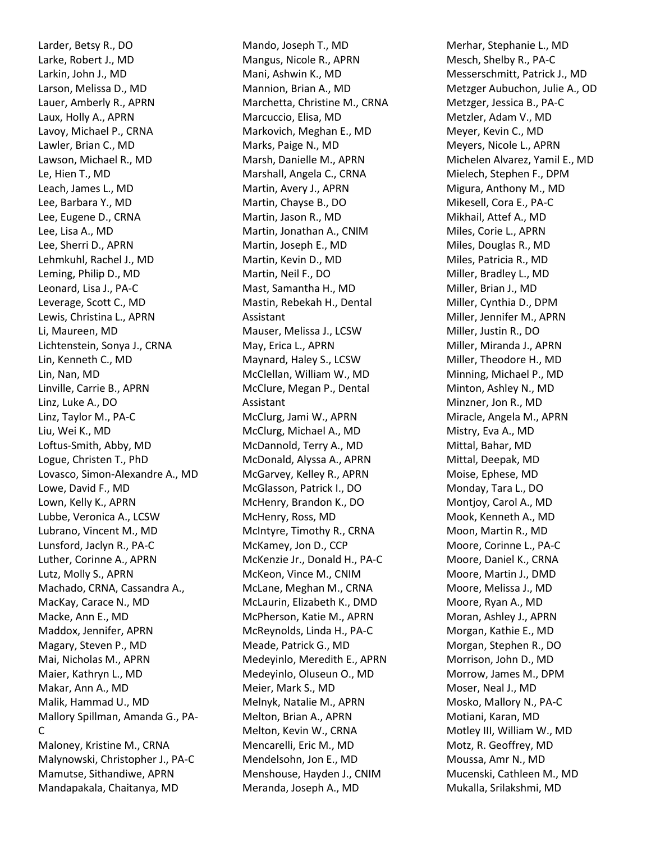Larder, Betsy R., DO Larke, Robert J., MD Larkin, John J., MD Larson, Melissa D., MD Lauer, Amberly R., APRN Laux, Holly A., APRN Lavoy, Michael P., CRNA Lawler, Brian C., MD Lawson, Michael R., MD Le, Hien T., MD Leach, James L., MD Lee, Barbara Y., MD Lee, Eugene D., CRNA Lee, Lisa A., MD Lee, Sherri D., APRN Lehmkuhl, Rachel J., MD Leming, Philip D., MD Leonard, Lisa J., PA-C Leverage, Scott C., MD Lewis, Christina L., APRN Li, Maureen, MD Lichtenstein, Sonya J., CRNA Lin, Kenneth C., MD Lin, Nan, MD Linville, Carrie B., APRN Linz, Luke A., DO Linz, Taylor M., PA-C Liu, Wei K., MD Loftus-Smith, Abby, MD Logue, Christen T., PhD Lovasco, Simon-Alexandre A., MD Lowe, David F., MD Lown, Kelly K., APRN Lubbe, Veronica A., LCSW Lubrano, Vincent M., MD Lunsford, Jaclyn R., PA-C Luther, Corinne A., APRN Lutz, Molly S., APRN Machado, CRNA, Cassandra A., MacKay, Carace N., MD Macke, Ann E., MD Maddox, Jennifer, APRN Magary, Steven P., MD Mai, Nicholas M., APRN Maier, Kathryn L., MD Makar, Ann A., MD Malik, Hammad U., MD Mallory Spillman, Amanda G., PA-C Maloney, Kristine M., CRNA Malynowski, Christopher J., PA-C Mamutse, Sithandiwe, APRN Mandapakala, Chaitanya, MD

Mando, Joseph T., MD Mangus, Nicole R., APRN Mani, Ashwin K., MD Mannion, Brian A., MD Marchetta, Christine M., CRNA Marcuccio, Elisa, MD Markovich, Meghan E., MD Marks, Paige N., MD Marsh, Danielle M., APRN Marshall, Angela C., CRNA Martin, Avery J., APRN Martin, Chayse B., DO Martin, Jason R., MD Martin, Jonathan A., CNIM Martin, Joseph E., MD Martin, Kevin D., MD Martin, Neil F., DO Mast, Samantha H., MD Mastin, Rebekah H., Dental Assistant Mauser, Melissa J., LCSW May, Erica L., APRN Maynard, Haley S., LCSW McClellan, William W., MD McClure, Megan P., Dental Assistant McClurg, Jami W., APRN McClurg, Michael A., MD McDannold, Terry A., MD McDonald, Alyssa A., APRN McGarvey, Kelley R., APRN McGlasson, Patrick I., DO McHenry, Brandon K., DO McHenry, Ross, MD McIntyre, Timothy R., CRNA McKamey, Jon D., CCP McKenzie Jr., Donald H., PA-C McKeon, Vince M., CNIM McLane, Meghan M., CRNA McLaurin, Elizabeth K., DMD McPherson, Katie M., APRN McReynolds, Linda H., PA-C Meade, Patrick G., MD Medeyinlo, Meredith E., APRN Medeyinlo, Oluseun O., MD Meier, Mark S., MD Melnyk, Natalie M., APRN Melton, Brian A., APRN Melton, Kevin W., CRNA Mencarelli, Eric M., MD Mendelsohn, Jon E., MD Menshouse, Hayden J., CNIM Meranda, Joseph A., MD

Merhar, Stephanie L., MD Mesch, Shelby R., PA-C Messerschmitt, Patrick J., MD Metzger Aubuchon, Julie A., OD Metzger, Jessica B., PA-C Metzler, Adam V., MD Meyer, Kevin C., MD Meyers, Nicole L., APRN Michelen Alvarez, Yamil E., MD Mielech, Stephen F., DPM Migura, Anthony M., MD Mikesell, Cora E., PA-C Mikhail, Attef A., MD Miles, Corie L., APRN Miles, Douglas R., MD Miles, Patricia R., MD Miller, Bradley L., MD Miller, Brian J., MD Miller, Cynthia D., DPM Miller, Jennifer M., APRN Miller, Justin R., DO Miller, Miranda J., APRN Miller, Theodore H., MD Minning, Michael P., MD Minton, Ashley N., MD Minzner, Jon R., MD Miracle, Angela M., APRN Mistry, Eva A., MD Mittal, Bahar, MD Mittal, Deepak, MD Moise, Ephese, MD Monday, Tara L., DO Montjoy, Carol A., MD Mook, Kenneth A., MD Moon, Martin R., MD Moore, Corinne L., PA-C Moore, Daniel K., CRNA Moore, Martin J., DMD Moore, Melissa J., MD Moore, Ryan A., MD Moran, Ashley J., APRN Morgan, Kathie E., MD Morgan, Stephen R., DO Morrison, John D., MD Morrow, James M., DPM Moser, Neal J., MD Mosko, Mallory N., PA-C Motiani, Karan, MD Motley III, William W., MD Motz, R. Geoffrey, MD Moussa, Amr N., MD Mucenski, Cathleen M., MD Mukalla, Srilakshmi, MD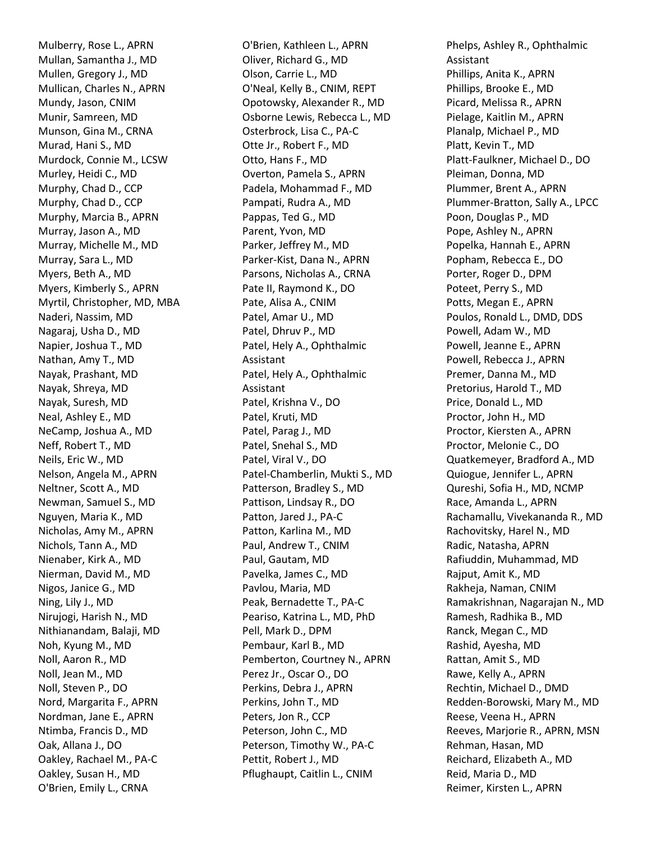Mulberry, Rose L., APRN Mullan, Samantha J., MD Mullen, Gregory J., MD Mullican, Charles N., APRN Mundy, Jason, CNIM Munir, Samreen, MD Munson, Gina M., CRNA Murad, Hani S., MD Murdock, Connie M., LCSW Murley, Heidi C., MD Murphy, Chad D., CCP Murphy, Chad D., CCP Murphy, Marcia B., APRN Murray, Jason A., MD Murray, Michelle M., MD Murray, Sara L., MD Myers, Beth A., MD Myers, Kimberly S., APRN Myrtil, Christopher, MD, MBA Naderi, Nassim, MD Nagaraj, Usha D., MD Napier, Joshua T., MD Nathan, Amy T., MD Nayak, Prashant, MD Nayak, Shreya, MD Nayak, Suresh, MD Neal, Ashley E., MD NeCamp, Joshua A., MD Neff, Robert T., MD Neils, Eric W., MD Nelson, Angela M., APRN Neltner, Scott A., MD Newman, Samuel S., MD Nguyen, Maria K., MD Nicholas, Amy M., APRN Nichols, Tann A., MD Nienaber, Kirk A., MD Nierman, David M., MD Nigos, Janice G., MD Ning, Lily J., MD Nirujogi, Harish N., MD Nithianandam, Balaji, MD Noh, Kyung M., MD Noll, Aaron R., MD Noll, Jean M., MD Noll, Steven P., DO Nord, Margarita F., APRN Nordman, Jane E., APRN Ntimba, Francis D., MD Oak, Allana J., DO Oakley, Rachael M., PA-C Oakley, Susan H., MD O'Brien, Emily L., CRNA

O'Brien, Kathleen L., APRN Oliver, Richard G., MD Olson, Carrie L., MD O'Neal, Kelly B., CNIM, REPT Opotowsky, Alexander R., MD Osborne Lewis, Rebecca L., MD Osterbrock, Lisa C., PA-C Otte Jr., Robert F., MD Otto, Hans F., MD Overton, Pamela S., APRN Padela, Mohammad F., MD Pampati, Rudra A., MD Pappas, Ted G., MD Parent, Yvon, MD Parker, Jeffrey M., MD Parker-Kist, Dana N., APRN Parsons, Nicholas A., CRNA Pate II, Raymond K., DO Pate, Alisa A., CNIM Patel, Amar U., MD Patel, Dhruv P., MD Patel, Hely A., Ophthalmic Assistant Patel, Hely A., Ophthalmic Assistant Patel, Krishna V., DO Patel, Kruti, MD Patel, Parag J., MD Patel, Snehal S., MD Patel, Viral V., DO Patel-Chamberlin, Mukti S., MD Patterson, Bradley S., MD Pattison, Lindsay R., DO Patton, Jared J., PA-C Patton, Karlina M., MD Paul, Andrew T., CNIM Paul, Gautam, MD Pavelka, James C., MD Pavlou, Maria, MD Peak, Bernadette T., PA-C Peariso, Katrina L., MD, PhD Pell, Mark D., DPM Pembaur, Karl B., MD Pemberton, Courtney N., APRN Perez Jr., Oscar O., DO Perkins, Debra J., APRN Perkins, John T., MD Peters, Jon R., CCP Peterson, John C., MD Peterson, Timothy W., PA-C Pettit, Robert J., MD Pflughaupt, Caitlin L., CNIM

Phelps, Ashley R., Ophthalmic Assistant Phillips, Anita K., APRN Phillips, Brooke E., MD Picard, Melissa R., APRN Pielage, Kaitlin M., APRN Planalp, Michael P., MD Platt, Kevin T., MD Platt-Faulkner, Michael D., DO Pleiman, Donna, MD Plummer, Brent A., APRN Plummer-Bratton, Sally A., LPCC Poon, Douglas P., MD Pope, Ashley N., APRN Popelka, Hannah E., APRN Popham, Rebecca E., DO Porter, Roger D., DPM Poteet, Perry S., MD Potts, Megan E., APRN Poulos, Ronald L., DMD, DDS Powell, Adam W., MD Powell, Jeanne E., APRN Powell, Rebecca J., APRN Premer, Danna M., MD Pretorius, Harold T., MD Price, Donald L., MD Proctor, John H., MD Proctor, Kiersten A., APRN Proctor, Melonie C., DO Quatkemeyer, Bradford A., MD Quiogue, Jennifer L., APRN Qureshi, Sofia H., MD, NCMP Race, Amanda L., APRN Rachamallu, Vivekananda R., MD Rachovitsky, Harel N., MD Radic, Natasha, APRN Rafiuddin, Muhammad, MD Rajput, Amit K., MD Rakheja, Naman, CNIM Ramakrishnan, Nagarajan N., MD Ramesh, Radhika B., MD Ranck, Megan C., MD Rashid, Ayesha, MD Rattan, Amit S., MD Rawe, Kelly A., APRN Rechtin, Michael D., DMD Redden-Borowski, Mary M., MD Reese, Veena H., APRN Reeves, Marjorie R., APRN, MSN Rehman, Hasan, MD Reichard, Elizabeth A., MD Reid, Maria D., MD Reimer, Kirsten L., APRN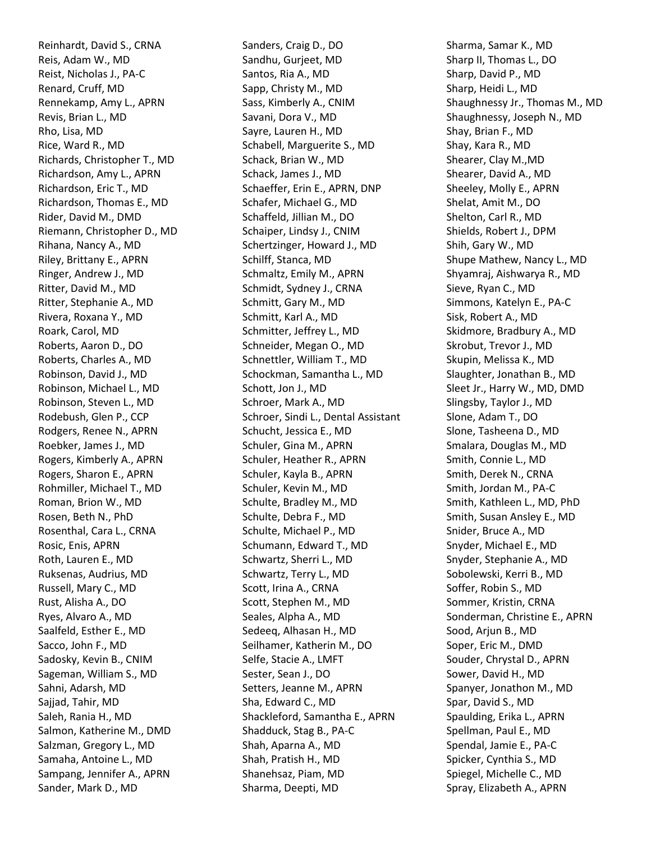Reinhardt, David S., CRNA Reis, Adam W., MD Reist, Nicholas J., PA-C Renard, Cruff, MD Rennekamp, Amy L., APRN Revis, Brian L., MD Rho, Lisa, MD Rice, Ward R., MD Richards, Christopher T., MD Richardson, Amy L., APRN Richardson, Eric T., MD Richardson, Thomas E., MD Rider, David M., DMD Riemann, Christopher D., MD Rihana, Nancy A., MD Riley, Brittany E., APRN Ringer, Andrew J., MD Ritter, David M., MD Ritter, Stephanie A., MD Rivera, Roxana Y., MD Roark, Carol, MD Roberts, Aaron D., DO Roberts, Charles A., MD Robinson, David J., MD Robinson, Michael L., MD Robinson, Steven L., MD Rodebush, Glen P., CCP Rodgers, Renee N., APRN Roebker, James J., MD Rogers, Kimberly A., APRN Rogers, Sharon E., APRN Rohmiller, Michael T., MD Roman, Brion W., MD Rosen, Beth N., PhD Rosenthal, Cara L., CRNA Rosic, Enis, APRN Roth, Lauren E., MD Ruksenas, Audrius, MD Russell, Mary C., MD Rust, Alisha A., DO Ryes, Alvaro A., MD Saalfeld, Esther E., MD Sacco, John F., MD Sadosky, Kevin B., CNIM Sageman, William S., MD Sahni, Adarsh, MD Sajjad, Tahir, MD Saleh, Rania H., MD Salmon, Katherine M., DMD Salzman, Gregory L., MD Samaha, Antoine L., MD Sampang, Jennifer A., APRN Sander, Mark D., MD

Sanders, Craig D., DO Sandhu, Gurjeet, MD Santos, Ria A., MD Sapp, Christy M., MD Sass, Kimberly A., CNIM Savani, Dora V., MD Sayre, Lauren H., MD Schabell, Marguerite S., MD Schack, Brian W., MD Schack, James J., MD Schaeffer, Erin E., APRN, DNP Schafer, Michael G., MD Schaffeld, Jillian M., DO Schaiper, Lindsy J., CNIM Schertzinger, Howard J., MD Schilff, Stanca, MD Schmaltz, Emily M., APRN Schmidt, Sydney J., CRNA Schmitt, Gary M., MD Schmitt, Karl A., MD Schmitter, Jeffrey L., MD Schneider, Megan O., MD Schnettler, William T., MD Schockman, Samantha L., MD Schott, Jon J., MD Schroer, Mark A., MD Schroer, Sindi L., Dental Assistant Schucht, Jessica E., MD Schuler, Gina M., APRN Schuler, Heather R., APRN Schuler, Kayla B., APRN Schuler, Kevin M., MD Schulte, Bradley M., MD Schulte, Debra F., MD Schulte, Michael P., MD Schumann, Edward T., MD Schwartz, Sherri L., MD Schwartz, Terry L., MD Scott, Irina A., CRNA Scott, Stephen M., MD Seales, Alpha A., MD Sedeeq, Alhasan H., MD Seilhamer, Katherin M., DO Selfe, Stacie A., LMFT Sester, Sean J., DO Setters, Jeanne M., APRN Sha, Edward C., MD Shackleford, Samantha E., APRN Shadduck, Stag B., PA-C Shah, Aparna A., MD Shah, Pratish H., MD Shanehsaz, Piam, MD Sharma, Deepti, MD

Sharma, Samar K., MD Sharp II, Thomas L., DO Sharp, David P., MD Sharp, Heidi L., MD Shaughnessy Jr., Thomas M., MD Shaughnessy, Joseph N., MD Shay, Brian F., MD Shay, Kara R., MD Shearer, Clay M.,MD Shearer, David A., MD Sheeley, Molly E., APRN Shelat, Amit M., DO Shelton, Carl R., MD Shields, Robert J., DPM Shih, Gary W., MD Shupe Mathew, Nancy L., MD Shyamraj, Aishwarya R., MD Sieve, Ryan C., MD Simmons, Katelyn E., PA-C Sisk, Robert A., MD Skidmore, Bradbury A., MD Skrobut, Trevor J., MD Skupin, Melissa K., MD Slaughter, Jonathan B., MD Sleet Jr., Harry W., MD, DMD Slingsby, Taylor J., MD Slone, Adam T., DO Slone, Tasheena D., MD Smalara, Douglas M., MD Smith, Connie L., MD Smith, Derek N., CRNA Smith, Jordan M., PA-C Smith, Kathleen L., MD, PhD Smith, Susan Ansley E., MD Snider, Bruce A., MD Snyder, Michael E., MD Snyder, Stephanie A., MD Sobolewski, Kerri B., MD Soffer, Robin S., MD Sommer, Kristin, CRNA Sonderman, Christine E., APRN Sood, Arjun B., MD Soper, Eric M., DMD Souder, Chrystal D., APRN Sower, David H., MD Spanyer, Jonathon M., MD Spar, David S., MD Spaulding, Erika L., APRN Spellman, Paul E., MD Spendal, Jamie E., PA-C Spicker, Cynthia S., MD Spiegel, Michelle C., MD Spray, Elizabeth A., APRN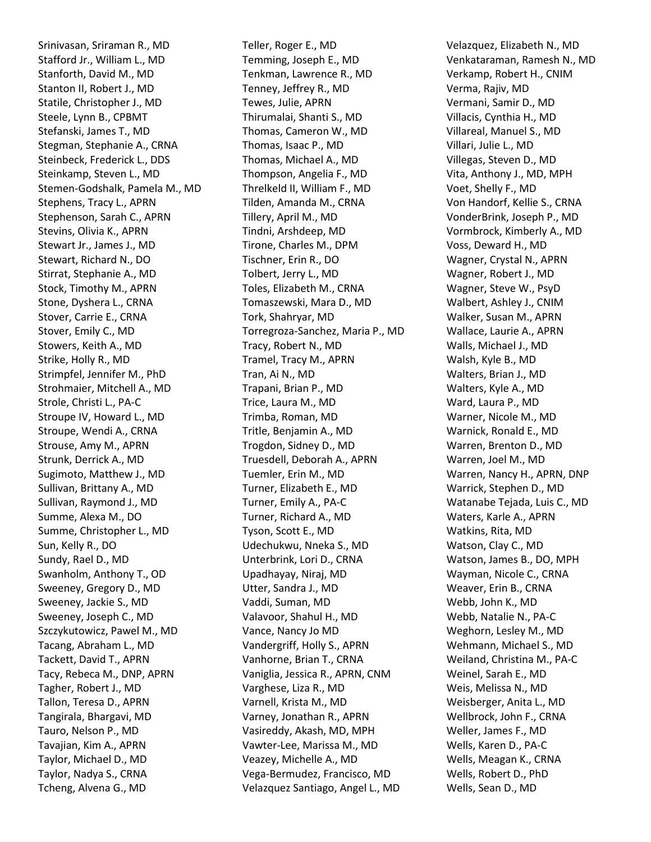Srinivasan, Sriraman R., MD Stafford Jr., William L., MD Stanforth, David M., MD Stanton II, Robert J., MD Statile, Christopher J., MD Steele, Lynn B., CPBMT Stefanski, James T., MD Stegman, Stephanie A., CRNA Steinbeck, Frederick L., DDS Steinkamp, Steven L., MD Stemen-Godshalk, Pamela M., MD Stephens, Tracy L., APRN Stephenson, Sarah C., APRN Stevins, Olivia K., APRN Stewart Jr., James J., MD Stewart, Richard N., DO Stirrat, Stephanie A., MD Stock, Timothy M., APRN Stone, Dyshera L., CRNA Stover, Carrie E., CRNA Stover, Emily C., MD Stowers, Keith A., MD Strike, Holly R., MD Strimpfel, Jennifer M., PhD Strohmaier, Mitchell A., MD Strole, Christi L., PA-C Stroupe IV, Howard L., MD Stroupe, Wendi A., CRNA Strouse, Amy M., APRN Strunk, Derrick A., MD Sugimoto, Matthew J., MD Sullivan, Brittany A., MD Sullivan, Raymond J., MD Summe, Alexa M., DO Summe, Christopher L., MD Sun, Kelly R., DO Sundy, Rael D., MD Swanholm, Anthony T., OD Sweeney, Gregory D., MD Sweeney, Jackie S., MD Sweeney, Joseph C., MD Szczykutowicz, Pawel M., MD Tacang, Abraham L., MD Tackett, David T., APRN Tacy, Rebeca M., DNP, APRN Tagher, Robert J., MD Tallon, Teresa D., APRN Tangirala, Bhargavi, MD Tauro, Nelson P., MD Tavajian, Kim A., APRN Taylor, Michael D., MD Taylor, Nadya S., CRNA Tcheng, Alvena G., MD

Teller, Roger E., MD Temming, Joseph E., MD Tenkman, Lawrence R., MD Tenney, Jeffrey R., MD Tewes, Julie, APRN Thirumalai, Shanti S., MD Thomas, Cameron W., MD Thomas, Isaac P., MD Thomas, Michael A., MD Thompson, Angelia F., MD Threlkeld II, William F., MD Tilden, Amanda M., CRNA Tillery, April M., MD Tindni, Arshdeep, MD Tirone, Charles M., DPM Tischner, Erin R., DO Tolbert, Jerry L., MD Toles, Elizabeth M., CRNA Tomaszewski, Mara D., MD Tork, Shahryar, MD Torregroza-Sanchez, Maria P., MD Tracy, Robert N., MD Tramel, Tracy M., APRN Tran, Ai N., MD Trapani, Brian P., MD Trice, Laura M., MD Trimba, Roman, MD Tritle, Benjamin A., MD Trogdon, Sidney D., MD Truesdell, Deborah A., APRN Tuemler, Erin M., MD Turner, Elizabeth E., MD Turner, Emily A., PA-C Turner, Richard A., MD Tyson, Scott E., MD Udechukwu, Nneka S., MD Unterbrink, Lori D., CRNA Upadhayay, Niraj, MD Utter, Sandra J., MD Vaddi, Suman, MD Valavoor, Shahul H., MD Vance, Nancy Jo MD Vandergriff, Holly S., APRN Vanhorne, Brian T., CRNA Vaniglia, Jessica R., APRN, CNM Varghese, Liza R., MD Varnell, Krista M., MD Varney, Jonathan R., APRN Vasireddy, Akash, MD, MPH Vawter-Lee, Marissa M., MD Veazey, Michelle A., MD Vega-Bermudez, Francisco, MD Velazquez Santiago, Angel L., MD

Velazquez, Elizabeth N., MD Venkataraman, Ramesh N., MD Verkamp, Robert H., CNIM Verma, Rajiv, MD Vermani, Samir D., MD Villacis, Cynthia H., MD Villareal, Manuel S., MD Villari, Julie L., MD Villegas, Steven D., MD Vita, Anthony J., MD, MPH Voet, Shelly F., MD Von Handorf, Kellie S., CRNA VonderBrink, Joseph P., MD Vormbrock, Kimberly A., MD Voss, Deward H., MD Wagner, Crystal N., APRN Wagner, Robert J., MD Wagner, Steve W., PsyD Walbert, Ashley J., CNIM Walker, Susan M., APRN Wallace, Laurie A., APRN Walls, Michael J., MD Walsh, Kyle B., MD Walters, Brian J., MD Walters, Kyle A., MD Ward, Laura P., MD Warner, Nicole M., MD Warnick, Ronald E., MD Warren, Brenton D., MD Warren, Joel M., MD Warren, Nancy H., APRN, DNP Warrick, Stephen D., MD Watanabe Tejada, Luis C., MD Waters, Karle A., APRN Watkins, Rita, MD Watson, Clay C., MD Watson, James B., DO, MPH Wayman, Nicole C., CRNA Weaver, Erin B., CRNA Webb, John K., MD Webb, Natalie N., PA-C Weghorn, Lesley M., MD Wehmann, Michael S., MD Weiland, Christina M., PA-C Weinel, Sarah E., MD Weis, Melissa N., MD Weisberger, Anita L., MD Wellbrock, John F., CRNA Weller, James F., MD Wells, Karen D., PA-C Wells, Meagan K., CRNA Wells, Robert D., PhD Wells, Sean D., MD